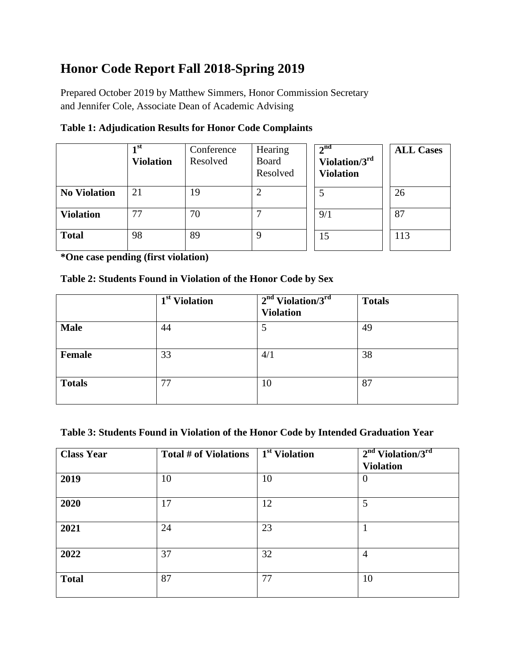# **Honor Code Report Fall 2018-Spring 2019**

 Prepared October 2019 by Matthew Simmers, Honor Commission Secretary and Jennifer Cole, Associate Dean of Academic Advising

|                     | 1 <sup>st</sup><br><b>Violation</b> | Conference<br>Resolved | Hearing<br>Board<br>Resolved | 2 <sup>nd</sup><br>Violation/ $3^{\text{rd}}$<br><b>Violation</b> | <b>ALL Cases</b> |
|---------------------|-------------------------------------|------------------------|------------------------------|-------------------------------------------------------------------|------------------|
| <b>No Violation</b> | 21                                  | 19                     |                              |                                                                   | 26               |
| <b>Violation</b>    | 77                                  | 70                     |                              | 9/1                                                               | 87               |
| <b>Total</b>        | 98                                  | 89                     | 9                            | 15                                                                | 113              |

**Table 1: Adjudication Results for Honor Code Complaints** 

**\*One case pending (first violation)** 

### **Table 2: Students Found in Violation of the Honor Code by Sex**

|               | 1 <sup>st</sup> Violation | $2nd Violation/3rd$<br><b>Violation</b> | <b>Totals</b> |
|---------------|---------------------------|-----------------------------------------|---------------|
| <b>Male</b>   | 44                        | 5                                       | 49            |
| <b>Female</b> | 33                        | 4/1                                     | 38            |
| <b>Totals</b> | 77                        | 10                                      | 87            |

#### **Table 3: Students Found in Violation of the Honor Code by Intended Graduation Year**

| <b>Class Year</b> | Total # of Violations | 1 <sup>st</sup> Violation | $2nd$ Violation/3 <sup>rd</sup><br><b>Violation</b> |
|-------------------|-----------------------|---------------------------|-----------------------------------------------------|
| 2019              | 10                    | 10                        | $\theta$                                            |
| 2020              | 17                    | 12                        | 5                                                   |
| 2021              | 24                    | 23                        |                                                     |
| 2022              | 37                    | 32                        | $\overline{4}$                                      |
| <b>Total</b>      | 87                    | 77                        | 10                                                  |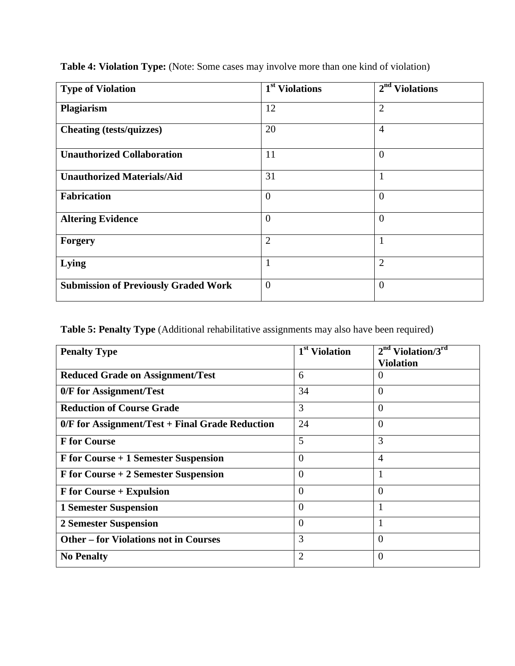| <b>Type of Violation</b>                    | 1 <sup>st</sup> Violations | $2nd$ Violations |
|---------------------------------------------|----------------------------|------------------|
| Plagiarism                                  | 12                         | $\overline{2}$   |
| <b>Cheating (tests/quizzes)</b>             | 20                         | $\overline{4}$   |
| <b>Unauthorized Collaboration</b>           | 11                         | $\overline{0}$   |
| <b>Unauthorized Materials/Aid</b>           | 31                         | $\mathbf{1}$     |
| <b>Fabrication</b>                          | $\overline{0}$             | $\overline{0}$   |
| <b>Altering Evidence</b>                    | $\overline{0}$             | $\overline{0}$   |
| <b>Forgery</b>                              | $\overline{2}$             | $\mathbf{1}$     |
| Lying                                       | $\mathbf{1}$               | $\overline{2}$   |
| <b>Submission of Previously Graded Work</b> | $\overline{0}$             | $\overline{0}$   |

**Table 4: Violation Type:** (Note: Some cases may involve more than one kind of violation)

**Table 5: Penalty Type** (Additional rehabilitative assignments may also have been required)

| <b>Penalty Type</b>                               | 1 <sup>st</sup> Violation | $2nd$ Violation/3 <sup>rd</sup> |
|---------------------------------------------------|---------------------------|---------------------------------|
|                                                   |                           | <b>Violation</b>                |
| <b>Reduced Grade on Assignment/Test</b>           | 6                         | $\theta$                        |
| 0/F for Assignment/Test                           | 34                        | $\theta$                        |
| <b>Reduction of Course Grade</b>                  | 3                         | $\Omega$                        |
| $0/F$ for Assignment/Test + Final Grade Reduction | 24                        | $\theta$                        |
| <b>F</b> for Course                               | 5                         | 3                               |
| F for Course + 1 Semester Suspension              | $\Omega$                  | $\overline{4}$                  |
| F for Course + 2 Semester Suspension              | $\theta$                  | 1                               |
| <b>F</b> for Course + Expulsion                   | $\theta$                  | $\theta$                        |
| <b>1 Semester Suspension</b>                      | $\Omega$                  | H                               |
| <b>2 Semester Suspension</b>                      | $\theta$                  | 1                               |
| <b>Other – for Violations not in Courses</b>      | 3                         | $\Omega$                        |
| <b>No Penalty</b>                                 | 2                         | $\Omega$                        |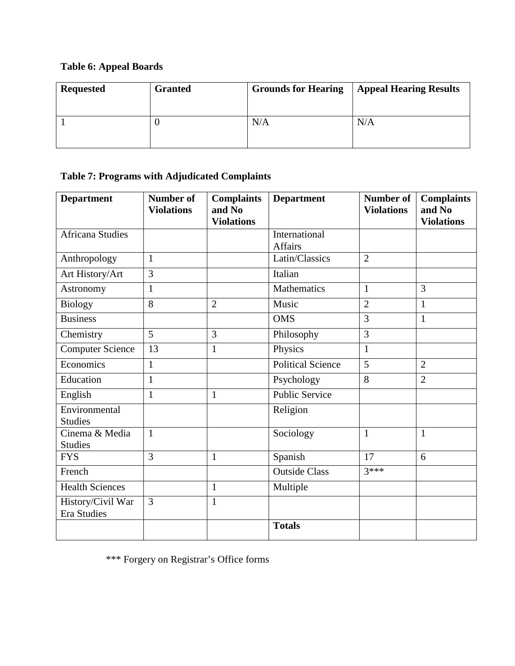## **Table 6: Appeal Boards**

| <b>Requested</b> | <b>Granted</b> | <b>Grounds for Hearing</b> | <b>Appeal Hearing Results</b> |
|------------------|----------------|----------------------------|-------------------------------|
|                  |                | N/A                        | N/A                           |

## **Table 7: Programs with Adjudicated Complaints**

| <b>Department</b>                       | <b>Number of</b><br><b>Violations</b> | <b>Complaints</b><br>and No<br><b>Violations</b> | <b>Department</b>               | <b>Number of</b><br><b>Violations</b> | <b>Complaints</b><br>and No<br><b>Violations</b> |
|-----------------------------------------|---------------------------------------|--------------------------------------------------|---------------------------------|---------------------------------------|--------------------------------------------------|
| <b>Africana Studies</b>                 |                                       |                                                  | International<br><b>Affairs</b> |                                       |                                                  |
| Anthropology                            | $\mathbf{1}$                          |                                                  | Latin/Classics                  | $\overline{2}$                        |                                                  |
| Art History/Art                         | 3                                     |                                                  | Italian                         |                                       |                                                  |
| Astronomy                               | $\mathbf{1}$                          |                                                  | Mathematics                     | $\mathbf{1}$                          | 3                                                |
| <b>Biology</b>                          | 8                                     | $\overline{2}$                                   | Music                           | $\overline{2}$                        | $\mathbf{1}$                                     |
| <b>Business</b>                         |                                       |                                                  | <b>OMS</b>                      | 3                                     | $\mathbf{1}$                                     |
| Chemistry                               | 5                                     | 3                                                | Philosophy                      | 3                                     |                                                  |
| <b>Computer Science</b>                 | 13                                    | $\mathbf{1}$                                     | Physics                         | $\mathbf{1}$                          |                                                  |
| Economics                               | $\mathbf{1}$                          |                                                  | <b>Political Science</b>        | 5                                     | $\overline{2}$                                   |
| Education                               | $\mathbf{1}$                          |                                                  | Psychology                      | 8                                     | $\overline{2}$                                   |
| English                                 | $\mathbf{1}$                          | $\mathbf{1}$                                     | <b>Public Service</b>           |                                       |                                                  |
| Environmental<br><b>Studies</b>         |                                       |                                                  | Religion                        |                                       |                                                  |
| Cinema & Media<br><b>Studies</b>        | $\mathbf{1}$                          |                                                  | Sociology                       | $\mathbf{1}$                          | $\mathbf{1}$                                     |
| <b>FYS</b>                              | 3                                     | $\mathbf{1}$                                     | Spanish                         | 17                                    | 6                                                |
| French                                  |                                       |                                                  | Outside Class                   | $3***$                                |                                                  |
| <b>Health Sciences</b>                  |                                       | $\mathbf{1}$                                     | Multiple                        |                                       |                                                  |
| History/Civil War<br><b>Era Studies</b> | 3                                     | 1                                                |                                 |                                       |                                                  |
|                                         |                                       |                                                  | <b>Totals</b>                   |                                       |                                                  |

\*\*\* Forgery on Registrar's Office forms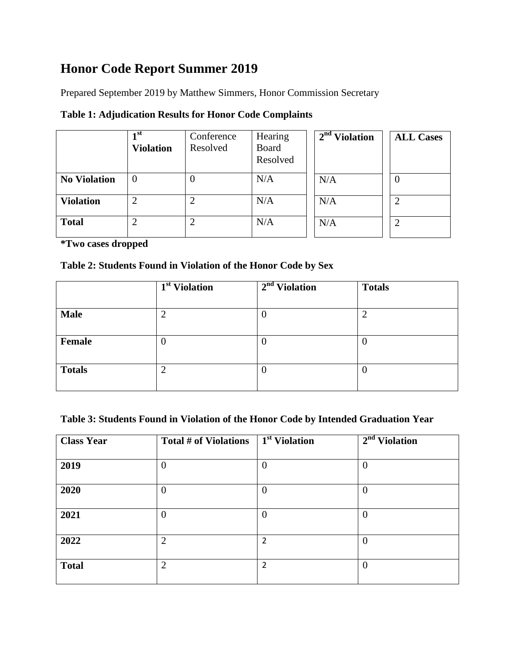# **Honor Code Report Summer 2019**

Prepared September 2019 by Matthew Simmers, Honor Commission Secretary

|  | <b>Table 1: Adjudication Results for Honor Code Complaints</b> |
|--|----------------------------------------------------------------|
|  |                                                                |

|                     | 1 <sup>st</sup><br><b>Violation</b> | Conference<br>Resolved | Hearing<br>Board<br>Resolved | $2nd$ Violation | <b>ALL Cases</b> |
|---------------------|-------------------------------------|------------------------|------------------------------|-----------------|------------------|
| <b>No Violation</b> | 0                                   |                        | N/A                          | N/A             |                  |
| <b>Violation</b>    | ↩                                   |                        | N/A                          | N/A             |                  |
| <b>Total</b>        | റ<br>∠                              |                        | N/A                          | N/A             |                  |

**\*Two cases dropped** 

### **Table 2: Students Found in Violation of the Honor Code by Sex**

|               | $\overline{1}^{\text{st}}$ Violation | $2nd$ Violation | <b>Totals</b> |
|---------------|--------------------------------------|-----------------|---------------|
|               |                                      |                 |               |
| <b>Male</b>   | ∠                                    | U               | 2             |
|               |                                      |                 |               |
| Female        | O                                    | $\theta$        | O             |
|               |                                      |                 |               |
| <b>Totals</b> | ◠<br>∠                               | $\theta$        | U             |
|               |                                      |                 |               |

### **Table 3: Students Found in Violation of the Honor Code by Intended Graduation Year**

| <b>Class Year</b> | Total # of Violations | $1st$ Violation | $2nd$ Violation |
|-------------------|-----------------------|-----------------|-----------------|
|                   |                       |                 |                 |
| 2019              | 0                     | $\overline{0}$  | $\theta$        |
| 2020              | 0                     | $\overline{0}$  | $\theta$        |
| 2021              | 0                     | $\overline{0}$  | $\mathbf{0}$    |
| 2022              | $\overline{2}$        | $\overline{2}$  | $\theta$        |
| <b>Total</b>      | $\overline{2}$        | $\overline{2}$  | $\overline{0}$  |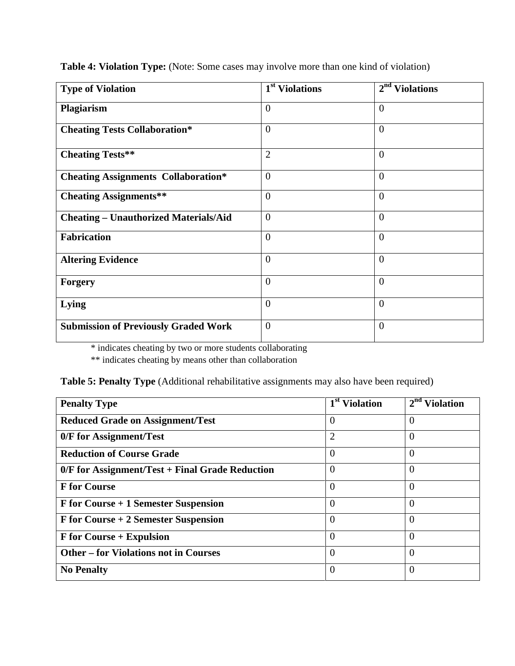| <b>Type of Violation</b>                     | 1 <sup>st</sup> Violations | 2 <sup>nd</sup><br><b>Violations</b> |
|----------------------------------------------|----------------------------|--------------------------------------|
| Plagiarism                                   | $\theta$                   | $\theta$                             |
| <b>Cheating Tests Collaboration*</b>         | $\overline{0}$             | $\overline{0}$                       |
| <b>Cheating Tests**</b>                      | $\overline{2}$             | $\overline{0}$                       |
| <b>Cheating Assignments Collaboration*</b>   | $\overline{0}$             | $\overline{0}$                       |
| <b>Cheating Assignments**</b>                | $\theta$                   | $\theta$                             |
| <b>Cheating - Unauthorized Materials/Aid</b> | $\overline{0}$             | $\overline{0}$                       |
| <b>Fabrication</b>                           | $\overline{0}$             | $\overline{0}$                       |
| <b>Altering Evidence</b>                     | $\theta$                   | $\overline{0}$                       |
| <b>Forgery</b>                               | $\theta$                   | $\theta$                             |
| Lying                                        | $\overline{0}$             | $\overline{0}$                       |
| <b>Submission of Previously Graded Work</b>  | $\theta$                   | $\overline{0}$                       |

**Table 4: Violation Type:** (Note: Some cases may involve more than one kind of violation)

\* indicates cheating by two or more students collaborating

\*\* indicates cheating by means other than collaboration

|  | Table 5: Penalty Type (Additional rehabilitative assignments may also have been required) |  |  |  |  |  |  |  |
|--|-------------------------------------------------------------------------------------------|--|--|--|--|--|--|--|
|--|-------------------------------------------------------------------------------------------|--|--|--|--|--|--|--|

| <b>Penalty Type</b>                               | 1 <sup>st</sup> Violation | $2nd$ Violation |
|---------------------------------------------------|---------------------------|-----------------|
| <b>Reduced Grade on Assignment/Test</b>           | $\Omega$                  | $\Omega$        |
| 0/F for Assignment/Test                           | 2                         | $\theta$        |
| <b>Reduction of Course Grade</b>                  | $\Omega$                  | $\overline{0}$  |
| $0/F$ for Assignment/Test + Final Grade Reduction | $\Omega$                  | $\Omega$        |
| <b>F</b> for Course                               | $\Omega$                  | $\theta$        |
| F for Course + 1 Semester Suspension              | $\Omega$                  | $\theta$        |
| F for Course + 2 Semester Suspension              | $\Omega$                  | $\Omega$        |
| F for Course + Expulsion                          | $\Omega$                  | $\overline{0}$  |
| <b>Other – for Violations not in Courses</b>      | $\Omega$                  | $\theta$        |
| <b>No Penalty</b>                                 | $\Omega$                  | $\Omega$        |